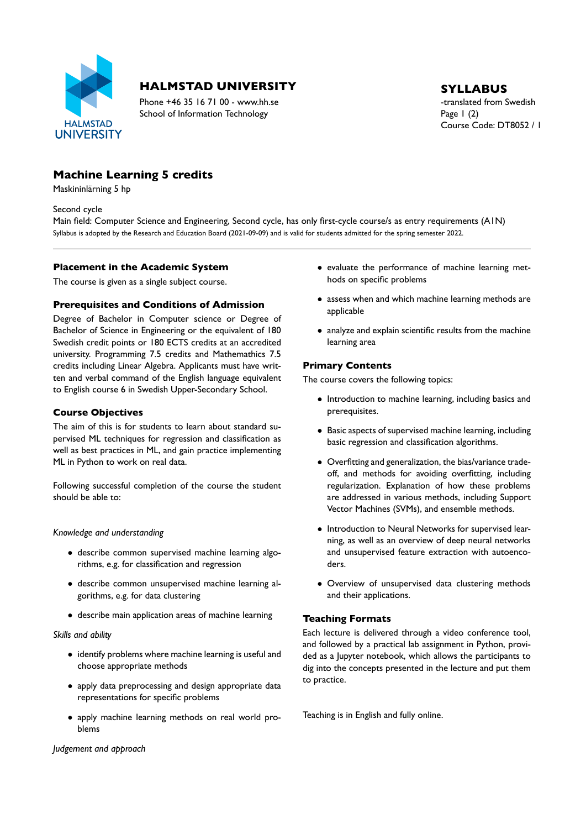

## **HALMSTAD UNIVERSITY** SYLLABUS

Phone +46 35 16 71 00 - www.hh.se the translated from Swedish School of Information Technology Page 1 (2)

# Course Code: DT8052 / 1

## **Machine Learning 5 credits**

Maskininlärning 5 hp

Second cycle

Main field: Computer Science and Engineering, Second cycle, has only first-cycle course/s as entry requirements (A1N) Syllabus is adopted by the Research and Education Board (2021-09-09) and is valid for students admitted for the spring semester 2022.

#### **Placement in the Academic System**

The course is given as a single subject course.

#### **Prerequisites and Conditions of Admission**

Degree of Bachelor in Computer science or Degree of Bachelor of Science in Engineering or the equivalent of 180 Swedish credit points or 180 ECTS credits at an accredited university. Programming 7.5 credits and Mathemathics 7.5 credits including Linear Algebra. Applicants must have writ ten and verbal command of the English language equivalent to English course 6 in Swedish Upper-Secondary School.

#### **Course Objectives**

The aim of this is for students to learn about standard su pervised ML techniques for regression and classification as well as best practices in ML, and gain practice implementing ML in Python to work on real data.

Following successful completion of the course the student should be able to:

*Knowledge and understanding*

- describe common supervised machine learning algo rithms, e.g. for classification and regression
- describe common unsupervised machine learning al gorithms, e.g. for data clustering
- describe main application areas of machine learning

*Skills and ability*

- identify problems where machine learning is useful and choose appropriate methods
- apply data preprocessing and design appropriate data representations for specific problems
- apply machine learning methods on real world pro blems

• evaluate the performance of machine learning met hods on specific problems

- assess when and which machine learning methods are applicable
- analyze and explain scientific results from the machine learning area

#### **Primary Contents**

The course covers the following topics:

- Introduction to machine learning, including basics and prerequisites.
- Basic aspects of supervised machine learning, including basic regression and classification algorithms.
- Overfitting and generalization, the bias/variance tradeoff, and methods for avoiding overfitting, including regularization. Explanation of how these problems are addressed in various methods, including Support Vector Machines (SVMs), and ensemble methods.
- Introduction to Neural Networks for supervised lear ning, as well as an overview of deep neural networks and unsupervised feature extraction with autoenco ders.
- Overview of unsupervised data clustering methods and their applications.

#### **Teaching Formats**

Each lecture is delivered through a video conference tool, and followed by a practical lab assignment in Python, provi ded as a Jupyter notebook, which allows the participants to dig into the concepts presented in the lecture and put them to practice.

Teaching is in English and fully online.

*Judgement and approach*